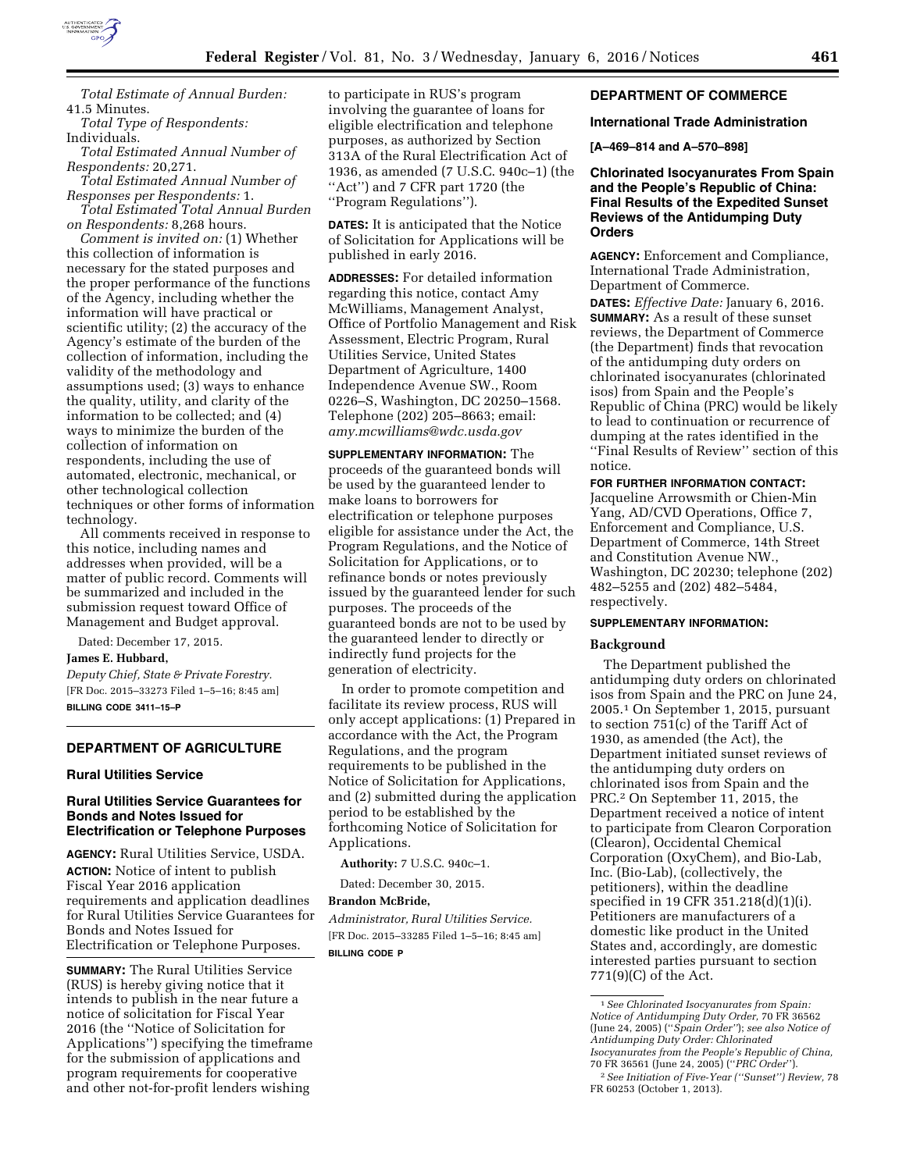

*Total Estimate of Annual Burden:*  41.5 Minutes.

*Total Type of Respondents:*  Individuals.

*Total Estimated Annual Number of Respondents:* 20,271.

*Total Estimated Annual Number of Responses per Respondents:* 1. *Total Estimated Total Annual Burden* 

*on Respondents:* 8,268 hours. *Comment is invited on:* (1) Whether this collection of information is necessary for the stated purposes and the proper performance of the functions of the Agency, including whether the information will have practical or scientific utility; (2) the accuracy of the Agency's estimate of the burden of the collection of information, including the validity of the methodology and assumptions used; (3) ways to enhance the quality, utility, and clarity of the information to be collected; and (4) ways to minimize the burden of the collection of information on respondents, including the use of automated, electronic, mechanical, or other technological collection techniques or other forms of information technology.

All comments received in response to this notice, including names and addresses when provided, will be a matter of public record. Comments will be summarized and included in the submission request toward Office of Management and Budget approval.

Dated: December 17, 2015.

**James E. Hubbard,** 

*Deputy Chief, State & Private Forestry.*  [FR Doc. 2015–33273 Filed 1–5–16; 8:45 am] **BILLING CODE 3411–15–P** 

# **DEPARTMENT OF AGRICULTURE**

#### **Rural Utilities Service**

## **Rural Utilities Service Guarantees for Bonds and Notes Issued for Electrification or Telephone Purposes**

**AGENCY:** Rural Utilities Service, USDA. **ACTION:** Notice of intent to publish Fiscal Year 2016 application requirements and application deadlines for Rural Utilities Service Guarantees for Bonds and Notes Issued for Electrification or Telephone Purposes.

**SUMMARY:** The Rural Utilities Service (RUS) is hereby giving notice that it intends to publish in the near future a notice of solicitation for Fiscal Year 2016 (the ''Notice of Solicitation for Applications'') specifying the timeframe for the submission of applications and program requirements for cooperative and other not-for-profit lenders wishing

to participate in RUS's program involving the guarantee of loans for eligible electrification and telephone purposes, as authorized by Section 313A of the Rural Electrification Act of 1936, as amended (7 U.S.C. 940c–1) (the ''Act'') and 7 CFR part 1720 (the ''Program Regulations'').

**DATES:** It is anticipated that the Notice of Solicitation for Applications will be published in early 2016.

**ADDRESSES:** For detailed information regarding this notice, contact Amy McWilliams, Management Analyst, Office of Portfolio Management and Risk Assessment, Electric Program, Rural Utilities Service, United States Department of Agriculture, 1400 Independence Avenue SW., Room 0226–S, Washington, DC 20250–1568. Telephone (202) 205–8663; email: *[amy.mcwilliams@wdc.usda.gov](mailto:amy.mcwilliams@wdc.usda.gov)* 

**SUPPLEMENTARY INFORMATION:** The proceeds of the guaranteed bonds will be used by the guaranteed lender to make loans to borrowers for electrification or telephone purposes eligible for assistance under the Act, the Program Regulations, and the Notice of Solicitation for Applications, or to refinance bonds or notes previously issued by the guaranteed lender for such purposes. The proceeds of the guaranteed bonds are not to be used by the guaranteed lender to directly or indirectly fund projects for the generation of electricity.

In order to promote competition and facilitate its review process, RUS will only accept applications: (1) Prepared in accordance with the Act, the Program Regulations, and the program requirements to be published in the Notice of Solicitation for Applications, and (2) submitted during the application period to be established by the forthcoming Notice of Solicitation for Applications.

**Authority:** 7 U.S.C. 940c–1.

Dated: December 30, 2015.

### **Brandon McBride,**

*Administrator, Rural Utilities Service.*  [FR Doc. 2015–33285 Filed 1–5–16; 8:45 am] **BILLING CODE P** 

# **DEPARTMENT OF COMMERCE**

### **International Trade Administration**

**[A–469–814 and A–570–898]** 

# **Chlorinated Isocyanurates From Spain and the People's Republic of China: Final Results of the Expedited Sunset Reviews of the Antidumping Duty Orders**

**AGENCY:** Enforcement and Compliance, International Trade Administration, Department of Commerce.

**DATES:** *Effective Date:* January 6, 2016. **SUMMARY:** As a result of these sunset reviews, the Department of Commerce (the Department) finds that revocation of the antidumping duty orders on chlorinated isocyanurates (chlorinated isos) from Spain and the People's Republic of China (PRC) would be likely to lead to continuation or recurrence of dumping at the rates identified in the ''Final Results of Review'' section of this notice.

#### **FOR FURTHER INFORMATION CONTACT:**

Jacqueline Arrowsmith or Chien-Min Yang, AD/CVD Operations, Office 7, Enforcement and Compliance, U.S. Department of Commerce, 14th Street and Constitution Avenue NW., Washington, DC 20230; telephone (202) 482–5255 and (202) 482–5484, respectively.

### **SUPPLEMENTARY INFORMATION:**

### **Background**

The Department published the antidumping duty orders on chlorinated isos from Spain and the PRC on June 24, 2005.1 On September 1, 2015, pursuant to section 751(c) of the Tariff Act of 1930, as amended (the Act), the Department initiated sunset reviews of the antidumping duty orders on chlorinated isos from Spain and the PRC.2 On September 11, 2015, the Department received a notice of intent to participate from Clearon Corporation (Clearon), Occidental Chemical Corporation (OxyChem), and Bio-Lab, Inc. (Bio-Lab), (collectively, the petitioners), within the deadline specified in 19 CFR 351.218(d)(1)(i). Petitioners are manufacturers of a domestic like product in the United States and, accordingly, are domestic interested parties pursuant to section 771(9)(C) of the Act.

<sup>1</sup>*See Chlorinated Isocyanurates from Spain: Notice of Antidumping Duty Order,* 70 FR 36562 (June 24, 2005) (''*Spain Order''*); *see also Notice of Antidumping Duty Order: Chlorinated Isocyanurates from the People's Republic of China,*  70 FR 36561 (June 24, 2005) (''*PRC Order*''). 2*See Initiation of Five-Year (''Sunset'') Review,* 78 FR 60253 (October 1, 2013).